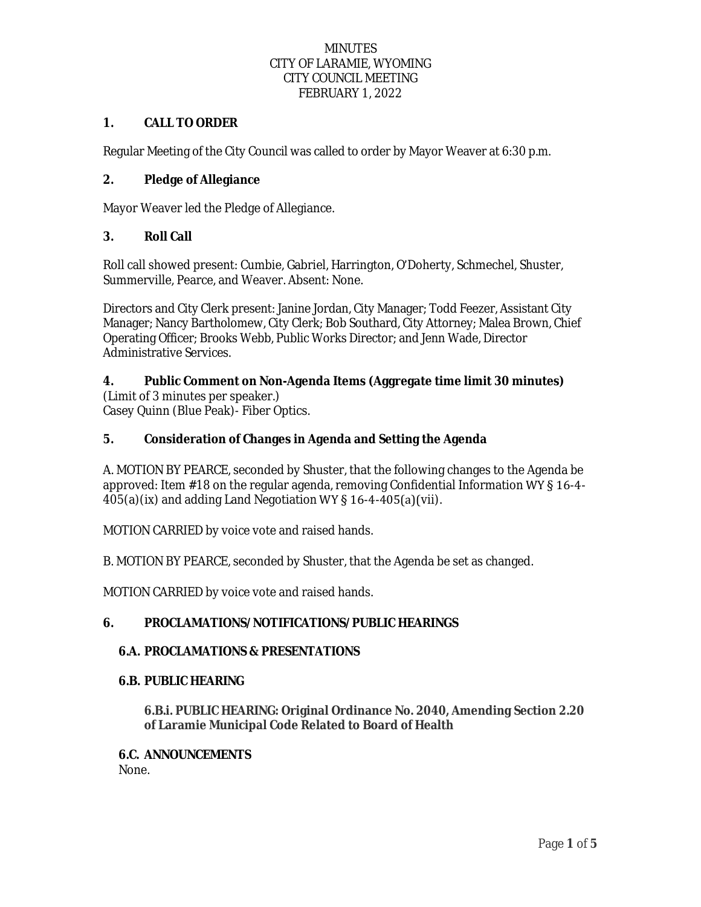### **1. CALL TO ORDER**

Regular Meeting of the City Council was called to order by Mayor Weaver at 6:30 p.m.

## **2. Pledge of Allegiance**

Mayor Weaver led the Pledge of Allegiance.

## **3. Roll Call**

Roll call showed present: Cumbie, Gabriel, Harrington, O'Doherty, Schmechel, Shuster, Summerville, Pearce, and Weaver. Absent: None.

Directors and City Clerk present: Janine Jordan, City Manager; Todd Feezer, Assistant City Manager; Nancy Bartholomew, City Clerk; Bob Southard, City Attorney; Malea Brown, Chief Operating Officer; Brooks Webb, Public Works Director; and Jenn Wade, Director Administrative Services.

# **4. Public Comment on Non-Agenda Items (Aggregate time limit 30 minutes)**

(Limit of 3 minutes per speaker.) Casey Quinn (Blue Peak)- Fiber Optics.

## **5. Consideration of Changes in Agenda and Setting the Agenda**

A. MOTION BY PEARCE, seconded by Shuster, that the following changes to the Agenda be approved: Item #18 on the regular agenda, removing Confidential Information WY § 16-4-  $405(a)(ix)$  and adding Land Negotiation WY § 16-4-405(a)(vii).

MOTION CARRIED by voice vote and raised hands.

B. MOTION BY PEARCE, seconded by Shuster, that the Agenda be set as changed.

MOTION CARRIED by voice vote and raised hands.

### **6. PROCLAMATIONS/NOTIFICATIONS/PUBLIC HEARINGS**

### **6.A. PROCLAMATIONS & PRESENTATIONS**

### **6.B. PUBLIC HEARING**

**6.B.i. PUBLIC HEARING: Original Ordinance No. 2040, Amending Section 2.20 of Laramie Municipal Code Related to Board of Health**

### **6.C. ANNOUNCEMENTS**

None.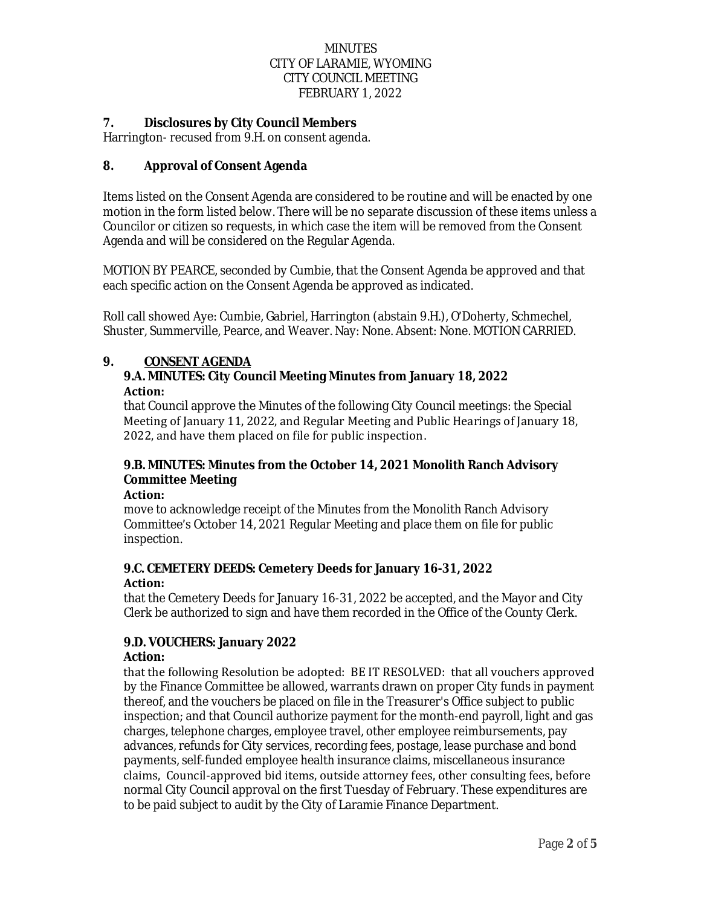### **7. Disclosures by City Council Members**

Harrington- recused from 9.H. on consent agenda.

## **8. Approval of Consent Agenda**

Items listed on the Consent Agenda are considered to be routine and will be enacted by one motion in the form listed below. There will be no separate discussion of these items unless a Councilor or citizen so requests, in which case the item will be removed from the Consent Agenda and will be considered on the Regular Agenda.

MOTION BY PEARCE, seconded by Cumbie, that the Consent Agenda be approved and that each specific action on the Consent Agenda be approved as indicated.

Roll call showed Aye: Cumbie, Gabriel, Harrington (abstain 9.H.), O'Doherty, Schmechel, Shuster, Summerville, Pearce, and Weaver. Nay: None. Absent: None. MOTION CARRIED.

## **9. CONSENT AGENDA**

### **9.A. MINUTES: City Council Meeting Minutes from January 18, 2022 Action:**

that Council approve the Minutes of the following City Council meetings: the Special Meeting of January 11, 2022, and Regular Meeting and Public Hearings of January 18, 2022, and have them placed on file for public inspection.

## **9.B. MINUTES: Minutes from the October 14, 2021 Monolith Ranch Advisory Committee Meeting**

**Action:** 

move to acknowledge receipt of the Minutes from the Monolith Ranch Advisory Committee's October 14, 2021 Regular Meeting and place them on file for public inspection.

#### **9.C. CEMETERY DEEDS: Cemetery Deeds for January 16-31, 2022 Action:**

that the Cemetery Deeds for January 16-31, 2022 be accepted, and the Mayor and City Clerk be authorized to sign and have them recorded in the Office of the County Clerk.

### **9.D. VOUCHERS: January 2022**

### **Action:**

that the following Resolution be adopted: BE IT RESOLVED: that all vouchers approved by the Finance Committee be allowed, warrants drawn on proper City funds in payment thereof, and the vouchers be placed on file in the Treasurer's Office subject to public inspection; and that Council authorize payment for the month-end payroll, light and gas charges, telephone charges, employee travel, other employee reimbursements, pay advances, refunds for City services, recording fees, postage, lease purchase and bond payments, self-funded employee health insurance claims, miscellaneous insurance claims, Council-approved bid items, outside attorney fees, other consulting fees, before normal City Council approval on the first Tuesday of February. These expenditures are to be paid subject to audit by the City of Laramie Finance Department.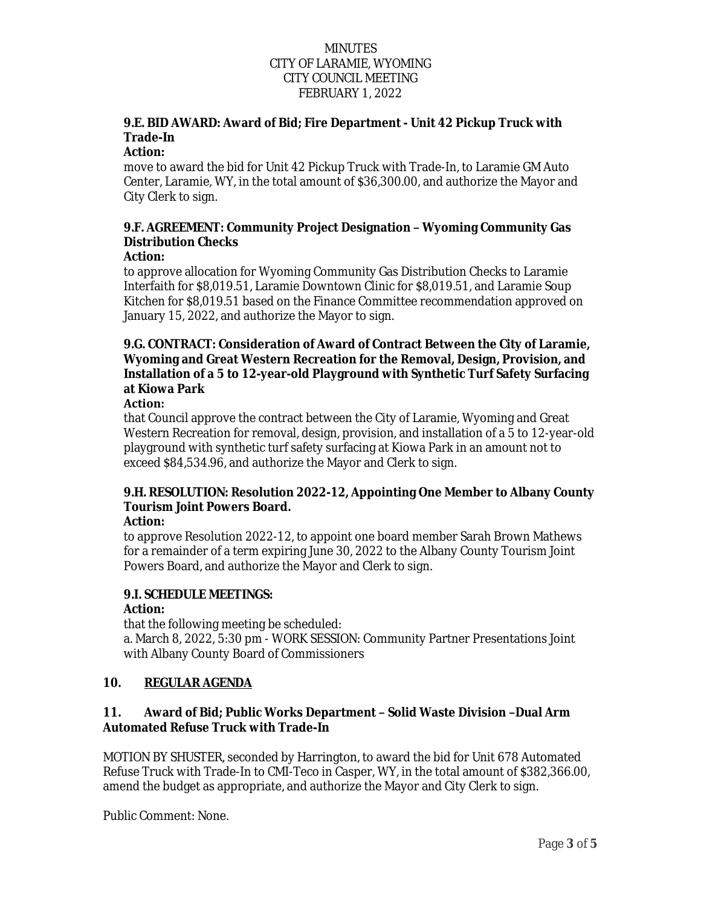## **9.E. BID AWARD: Award of Bid; Fire Department - Unit 42 Pickup Truck with Trade-In**

### **Action:**

move to award the bid for Unit 42 Pickup Truck with Trade-In, to Laramie GM Auto Center, Laramie, WY, in the total amount of \$36,300.00, and authorize the Mayor and City Clerk to sign.

# **9.F. AGREEMENT: Community Project Designation – Wyoming Community Gas Distribution Checks**

### **Action:**

to approve allocation for Wyoming Community Gas Distribution Checks to Laramie Interfaith for \$8,019.51, Laramie Downtown Clinic for \$8,019.51, and Laramie Soup Kitchen for \$8,019.51 based on the Finance Committee recommendation approved on January 15, 2022, and authorize the Mayor to sign.

## **9.G. CONTRACT: Consideration of Award of Contract Between the City of Laramie, Wyoming and Great Western Recreation for the Removal, Design, Provision, and Installation of a 5 to 12-year-old Playground with Synthetic Turf Safety Surfacing at Kiowa Park**

### **Action:**

that Council approve the contract between the City of Laramie, Wyoming and Great Western Recreation for removal, design, provision, and installation of a 5 to 12-year-old playground with synthetic turf safety surfacing at Kiowa Park in an amount not to exceed \$84,534.96, and authorize the Mayor and Clerk to sign.

# **9.H. RESOLUTION: Resolution 2022-12, Appointing One Member to Albany County Tourism Joint Powers Board.**

### **Action:**

to approve Resolution 2022-12, to appoint one board member Sarah Brown Mathews for a remainder of a term expiring June 30, 2022 to the Albany County Tourism Joint Powers Board, and authorize the Mayor and Clerk to sign.

## **9.I. SCHEDULE MEETINGS:**

## **Action:**

that the following meeting be scheduled: a. March 8, 2022, 5:30 pm - WORK SESSION: Community Partner Presentations Joint with Albany County Board of Commissioners

## **10. REGULAR AGENDA**

## **11. Award of Bid; Public Works Department – Solid Waste Division –Dual Arm Automated Refuse Truck with Trade-In**

MOTION BY SHUSTER, seconded by Harrington, to award the bid for Unit 678 Automated Refuse Truck with Trade-In to CMI-Teco in Casper, WY, in the total amount of \$382,366.00, amend the budget as appropriate, and authorize the Mayor and City Clerk to sign.

Public Comment: None.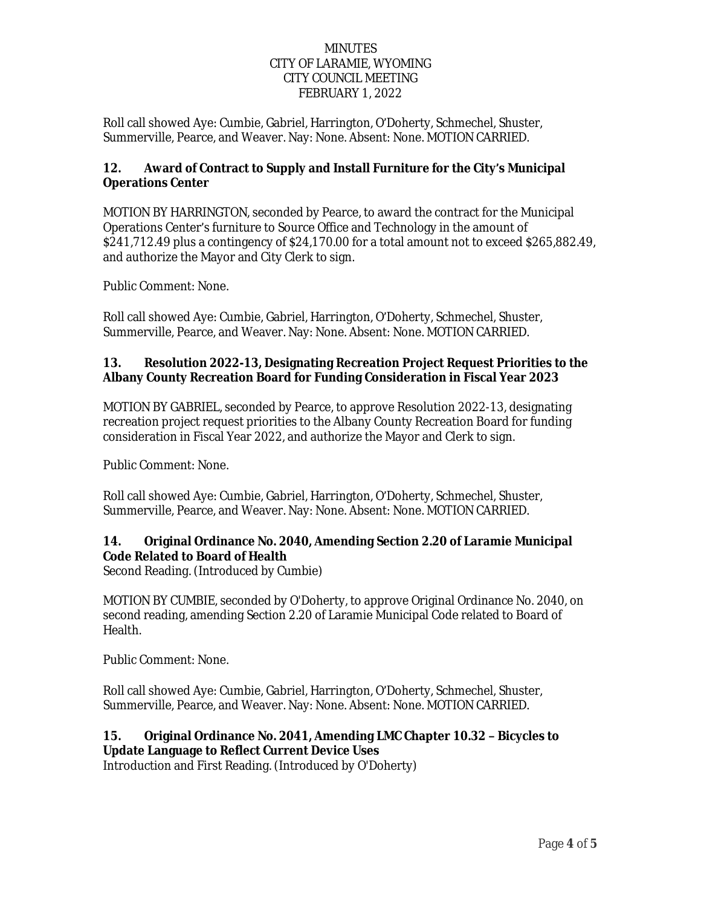Roll call showed Aye: Cumbie, Gabriel, Harrington, O'Doherty, Schmechel, Shuster, Summerville, Pearce, and Weaver. Nay: None. Absent: None. MOTION CARRIED.

## **12. Award of Contract to Supply and Install Furniture for the City's Municipal Operations Center**

MOTION BY HARRINGTON, seconded by Pearce, to award the contract for the Municipal Operations Center's furniture to Source Office and Technology in the amount of \$241,712.49 plus a contingency of \$24,170.00 for a total amount not to exceed \$265,882.49, and authorize the Mayor and City Clerk to sign.

Public Comment: None.

Roll call showed Aye: Cumbie, Gabriel, Harrington, O'Doherty, Schmechel, Shuster, Summerville, Pearce, and Weaver. Nay: None. Absent: None. MOTION CARRIED.

## **13. Resolution 2022-13, Designating Recreation Project Request Priorities to the Albany County Recreation Board for Funding Consideration in Fiscal Year 2023**

MOTION BY GABRIEL, seconded by Pearce, to approve Resolution 2022-13, designating recreation project request priorities to the Albany County Recreation Board for funding consideration in Fiscal Year 2022, and authorize the Mayor and Clerk to sign.

Public Comment: None.

Roll call showed Aye: Cumbie, Gabriel, Harrington, O'Doherty, Schmechel, Shuster, Summerville, Pearce, and Weaver. Nay: None. Absent: None. MOTION CARRIED.

## **14. Original Ordinance No. 2040, Amending Section 2.20 of Laramie Municipal Code Related to Board of Health**

Second Reading. (Introduced by Cumbie)

MOTION BY CUMBIE, seconded by O'Doherty, to approve Original Ordinance No. 2040, on second reading, amending Section 2.20 of Laramie Municipal Code related to Board of Health.

Public Comment: None.

Roll call showed Aye: Cumbie, Gabriel, Harrington, O'Doherty, Schmechel, Shuster, Summerville, Pearce, and Weaver. Nay: None. Absent: None. MOTION CARRIED.

## **15. Original Ordinance No. 2041, Amending LMC Chapter 10.32 – Bicycles to Update Language to Reflect Current Device Uses**

Introduction and First Reading. (Introduced by O'Doherty)